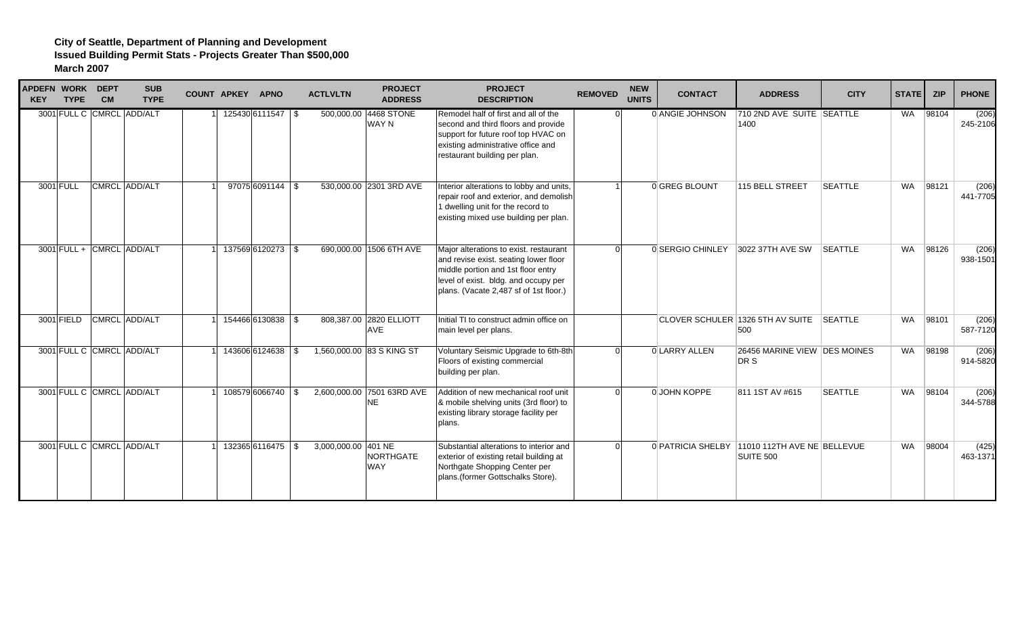| <b>APDEFN WORK DEPT</b><br><b>KEY</b> | <b>TYPE</b> | <b>CM</b>                 | <b>SUB</b><br><b>TYPE</b> | <b>COUNT APKEY</b> | <b>APNO</b>         | <b>ACTLVLTN</b>     | <b>PROJECT</b><br><b>ADDRESS</b>        | <b>PROJECT</b><br><b>DESCRIPTION</b>                                                                                                                                                                    | <b>REMOVED</b> | <b>NEW</b><br><b>UNITS</b> | <b>CONTACT</b>         | <b>ADDRESS</b>                                             | <b>CITY</b>    | <b>STATE</b> | <b>ZIP</b> | <b>PHONE</b>      |
|---------------------------------------|-------------|---------------------------|---------------------------|--------------------|---------------------|---------------------|-----------------------------------------|---------------------------------------------------------------------------------------------------------------------------------------------------------------------------------------------------------|----------------|----------------------------|------------------------|------------------------------------------------------------|----------------|--------------|------------|-------------------|
|                                       |             | 3001 FULL C CMRCL ADD/ALT |                           |                    | 125430 6111547 \$   |                     | 500,000.00 4468 STONE<br>WAY N          | Remodel half of first and all of the<br>second and third floors and provide<br>support for future roof top HVAC on<br>existing administrative office and<br>restaurant building per plan.               |                |                            | <b>O ANGIE JOHNSON</b> | 710 2ND AVE SUITE SEATTLE<br>1400                          |                |              | WA 98104   | (206)<br>245-2106 |
|                                       | 3001 FULL   |                           | CMRCL ADD/ALT             |                    | $970756091144$ \\$  |                     | 530,000.00 2301 3RD AVE                 | Interior alterations to lobby and units,<br>repair roof and exterior, and demolish<br>1 dwelling unit for the record to<br>existing mixed use building per plan.                                        |                |                            | 0 GREG BLOUNT          | 115 BELL STREET                                            | <b>SEATTLE</b> | WA           | 98121      | (206)<br>441-7705 |
|                                       |             | 3001 FULL + CMRCL ADD/ALT |                           |                    | 137569 6120273 \$   |                     | 690,000.00 1506 6TH AVE                 | Major alterations to exist. restaurant<br>and revise exist. seating lower floor<br>middle portion and 1st floor entry<br>level of exist. bldg. and occupy per<br>plans. (Vacate 2,487 sf of 1st floor.) | $\Omega$       |                            | 0 SERGIO CHINLEY       | 3022 37TH AVE SW                                           | <b>SEATTLE</b> | <b>WA</b>    | 98126      | (206)<br>938-1501 |
|                                       | 3001 FIELD  |                           | CMRCL ADD/ALT             |                    | 154466 6130838 \$   |                     | 808,387.00 2820 ELLIOTT<br>AVE          | Initial TI to construct admin office on<br>main level per plans.                                                                                                                                        |                |                            |                        | CLOVER SCHULER 1326 5TH AV SUITE SEATTLE<br>500            |                |              | WA 98101   | (206)<br>587-7120 |
|                                       |             | 3001 FULL C CMRCL ADD/ALT |                           |                    | 143606 6124638 \$   |                     | 1,560,000.00 83 S KING ST               | Voluntary Seismic Upgrade to 6th-8th<br>Floors of existing commercial<br>building per plan.                                                                                                             |                |                            | 0 LARRY ALLEN          | 26456 MARINE VIEW DES MOINES<br>DR S                       |                | <b>WA</b>    | 98198      | (206)<br>914-5820 |
|                                       |             | 3001 FULL C CMRCL ADD/ALT |                           |                    | 108579 6066740 \ \$ |                     | 2,600,000.00 7501 63RD AVE<br><b>NE</b> | Addition of new mechanical roof unit<br>& mobile shelving units (3rd floor) to<br>existing library storage facility per<br>plans.                                                                       | $\Omega$       |                            | 0 JOHN KOPPE           | 811 1ST AV #615                                            | <b>SEATTLE</b> | WA           | 98104      | (206)<br>344-5788 |
|                                       |             | 3001 FULL C CMRCL ADD/ALT |                           |                    | 132365 6116475 \$   | 3,000,000.00 401 NE | <b>NORTHGATE</b><br><b>WAY</b>          | Substantial alterations to interior and<br>exterior of existing retail building at<br>Northgate Shopping Center per<br>plans.(former Gottschalks Store).                                                |                |                            |                        | 0 PATRICIA SHELBY 11010 112TH AVE NE BELLEVUE<br>SUITE 500 |                | WA           | 98004      | (425)<br>463-1371 |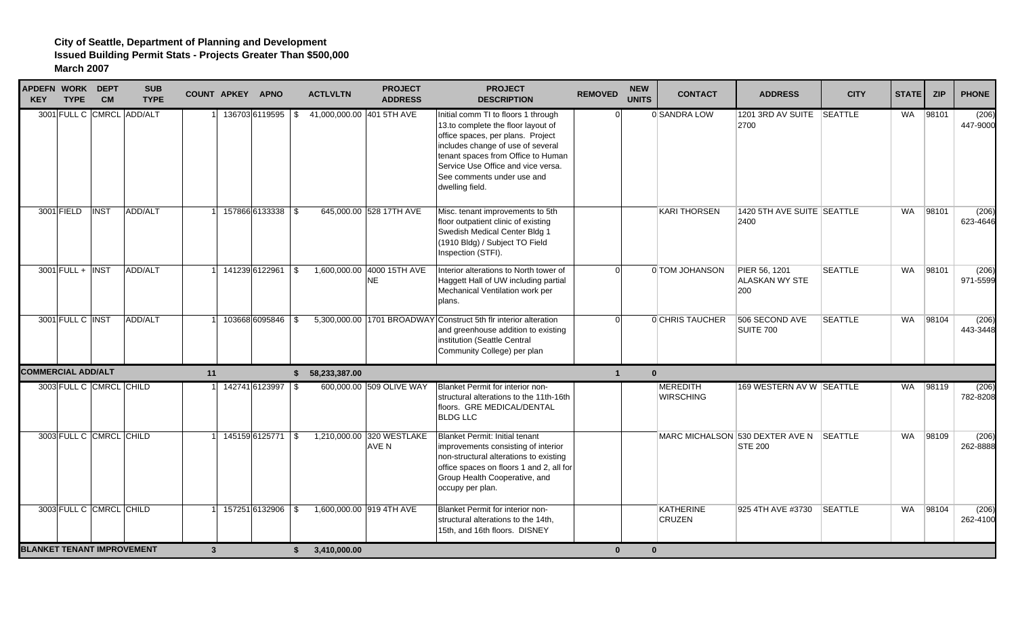| APDEFN WORK DEPT<br><b>KEY</b>    | <b>TYPE</b>        | <b>CM</b>               | <b>SUB</b><br><b>TYPE</b> |              | <b>COUNT APKEY</b><br><b>APNO</b> |    | <b>ACTLVLTN</b>           | <b>PROJECT</b><br><b>ADDRESS</b>   | <b>PROJECT</b><br><b>DESCRIPTION</b>                                                                                                                                                                                                                                             | <b>REMOVED</b> | <b>NEW</b><br><b>UNITS</b> | <b>CONTACT</b>                    | <b>ADDRESS</b>                                            | <b>CITY</b>    | <b>STATE</b> | <b>ZIP</b> | <b>PHONE</b>      |
|-----------------------------------|--------------------|-------------------------|---------------------------|--------------|-----------------------------------|----|---------------------------|------------------------------------|----------------------------------------------------------------------------------------------------------------------------------------------------------------------------------------------------------------------------------------------------------------------------------|----------------|----------------------------|-----------------------------------|-----------------------------------------------------------|----------------|--------------|------------|-------------------|
|                                   |                    |                         | 3001 FULL C CMRCL ADD/ALT |              | 136703 6119595                    |    | 41,000,000.00 401 5TH AVE |                                    | Initial comm TI to floors 1 through<br>13.to complete the floor layout of<br>office spaces, per plans. Project<br>includes change of use of several<br>tenant spaces from Office to Human<br>Service Use Office and vice versa.<br>See comments under use and<br>dwelling field. |                |                            | 0 SANDRA LOW                      | 1201 3RD AV SUITE<br>2700                                 | <b>SEATTLE</b> | WA           | 98101      | (206)<br>447-9000 |
|                                   | 3001 FIELD         | <b>INST</b>             | ADD/ALT                   |              | 157866 6133338 \$                 |    |                           | 645,000.00 528 17TH AVE            | Misc. tenant improvements to 5th<br>floor outpatient clinic of existing<br>Swedish Medical Center Bldg 1<br>(1910 Bldg) / Subject TO Field<br>Inspection (STFI).                                                                                                                 |                |                            | <b>KARI THORSEN</b>               | 1420 5TH AVE SUITE SEATTLE<br>2400                        |                | <b>WA</b>    | 98101      | (206)<br>623-4646 |
|                                   | $3001$ FULL + INST |                         | ADD/ALT                   |              | 141239 6122961 \$                 |    |                           | 1,600,000.00 4000 15TH AVE<br>NE.  | Interior alterations to North tower of<br>Haggett Hall of UW including partial<br>Mechanical Ventilation work per<br>plans.                                                                                                                                                      |                |                            | 0 TOM JOHANSON                    | PIER 56, 1201<br><b>ALASKAN WY STE</b><br>200             | <b>SEATTLE</b> | <b>WA</b>    | 98101      | (206)<br>971-5599 |
|                                   | 3001 FULL C INST   |                         | ADD/ALT                   |              | 103668 6095846 \ \$               |    |                           |                                    | 5,300,000.00 1701 BROADWAY Construct 5th flr interior alteration<br>and greenhouse addition to existing<br>institution (Seattle Central<br>Community College) per plan                                                                                                           |                |                            | <b>OCHRIS TAUCHER</b>             | 506 SECOND AVE<br>SUITE 700                               | <b>SEATTLE</b> | WA           | 98104      | (206)<br>443-3448 |
| <b>COMMERCIAL ADD/ALT</b>         |                    |                         |                           | 11           |                                   |    | \$58,233,387.00           |                                    |                                                                                                                                                                                                                                                                                  | $\mathbf{1}$   | $\mathbf{0}$               |                                   |                                                           |                |              |            |                   |
|                                   |                    | 3003 FULL C CMRCL CHILD |                           |              | 142741 6123997 \ \$               |    |                           | 600,000.00 509 OLIVE WAY           | Blanket Permit for interior non-<br>structural alterations to the 11th-16th<br>floors. GRE MEDICAL/DENTAL<br><b>BLDG LLC</b>                                                                                                                                                     |                |                            | MEREDITH<br><b>WIRSCHING</b>      | 169 WESTERN AV W SEATTLE                                  |                | WA           | 98119      | (206)<br>782-8208 |
|                                   |                    | 3003 FULL C CMRCL CHILD |                           |              | 145159 6125771 \$                 |    |                           | 1,210,000.00 320 WESTLAKE<br>AVE N | Blanket Permit: Initial tenant<br>improvements consisting of interior<br>non-structural alterations to existing<br>office spaces on floors 1 and 2, all for<br>Group Health Cooperative, and<br>occupy per plan.                                                                 |                |                            |                                   | MARC MICHALSON 530 DEXTER AVE N SEATTLE<br><b>STE 200</b> |                | <b>WA</b>    | 98109      | (206)<br>262-8888 |
|                                   |                    | 3003 FULL C CMRCL CHILD |                           |              | 157251 6132906 \$                 |    | 1,600,000.00 919 4TH AVE  |                                    | <b>Blanket Permit for interior non-</b><br>structural alterations to the 14th,<br>15th, and 16th floors. DISNEY                                                                                                                                                                  |                |                            | <b>KATHERINE</b><br><b>CRUZEN</b> | 925 4TH AVE #3730                                         | <b>SEATTLE</b> | <b>WA</b>    | 98104      | (206)<br>262-4100 |
| <b>BLANKET TENANT IMPROVEMENT</b> |                    |                         |                           | $\mathbf{3}$ |                                   | Ŝ. | 3.410.000.00              |                                    |                                                                                                                                                                                                                                                                                  | $\bf{0}$       | $\mathbf{0}$               |                                   |                                                           |                |              |            |                   |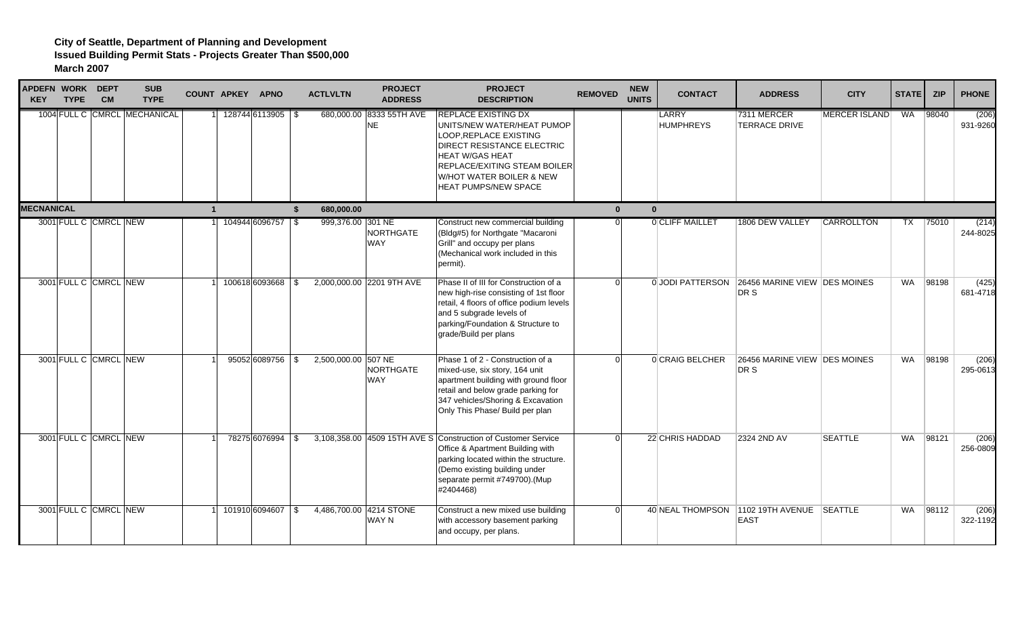| <b>KEY</b>        | APDEFN WORK DEPT<br><b>TYPE</b> | <b>CM</b> | <b>SUB</b><br><b>TYPE</b>    | <b>COUNT APKEY</b> | <b>APNO</b>       |      | <b>ACTLVLTN</b>     | <b>PROJECT</b><br><b>ADDRESS</b>        | <b>PROJECT</b><br><b>DESCRIPTION</b>                                                                                                                                                                                                        | <b>REMOVED</b> | <b>NEW</b><br><b>UNITS</b> | <b>CONTACT</b>            | <b>ADDRESS</b>                                   | <b>CITY</b>       | <b>STATE</b> | <b>ZIP</b> | <b>PHONE</b>      |
|-------------------|---------------------------------|-----------|------------------------------|--------------------|-------------------|------|---------------------|-----------------------------------------|---------------------------------------------------------------------------------------------------------------------------------------------------------------------------------------------------------------------------------------------|----------------|----------------------------|---------------------------|--------------------------------------------------|-------------------|--------------|------------|-------------------|
|                   |                                 |           | 1004 FULL C CMRCL MECHANICAL |                    | 128744 6113905 \$ |      |                     | 680,000.00 8333 55TH AVE<br><b>NE</b>   | <b>REPLACE EXISTING DX</b><br>UNITS/NEW WATER/HEAT PUMOP<br><b>LOOP.REPLACE EXISTING</b><br><b>DIRECT RESISTANCE ELECTRIC</b><br><b>HEAT W/GAS HEAT</b><br>REPLACE/EXITING STEAM BOILER<br>W/HOT WATER BOILER & NEW<br>HEAT PUMPS/NEW SPACE |                |                            | LARRY<br><b>HUMPHREYS</b> | 7311 MERCER<br>TERRACE DRIVE                     | MERCER ISLAND     |              | WA 98040   | (206)<br>931-9260 |
| <b>MECNANICAL</b> |                                 |           |                              |                    |                   | \$   | 680.000.00          |                                         |                                                                                                                                                                                                                                             | $\mathbf{0}$   | $\mathbf{0}$               |                           |                                                  |                   |              |            |                   |
|                   | 3001 FULL C CMRCL NEW           |           |                              |                    | 104944 6096757 \$ |      | 999,376.00 301 NE   | NORTHGATE<br><b>WAY</b>                 | Construct new commercial building<br>(Bldg#5) for Northgate "Macaroni<br>Grill" and occupy per plans<br>(Mechanical work included in this<br>permit).                                                                                       |                |                            | OCLIFF MAILLET            | 1806 DEW VALLEY                                  | <b>CARROLLTON</b> | TX           | 75010      | (214)<br>244-8025 |
|                   | 3001 FULL C CMRCL NEW           |           |                              |                    | 100618 6093668    | l \$ |                     | 2,000,000.00 2201 9TH AVE               | Phase II of III for Construction of a<br>new high-rise consisting of 1st floor<br>retail, 4 floors of office podium levels<br>and 5 subgrade levels of<br>parking/Foundation & Structure to<br>grade/Build per plans                        |                |                            | 0 JODI PATTERSON          | 26456 MARINE VIEW DES MOINES<br>DR S             |                   | WA           | 98198      | (425)<br>681-4718 |
|                   | 3001 FULL C CMRCL NEW           |           |                              |                    | 95052 6089756 \$  |      | 2,500,000.00 507 NE | NORTHGATE<br><b>WAY</b>                 | Phase 1 of 2 - Construction of a<br>mixed-use, six story, 164 unit<br>apartment building with ground floor<br>retail and below grade parking for<br>347 vehicles/Shoring & Excavation<br>Only This Phase/ Build per plan                    |                |                            | 0 CRAIG BELCHER           | 26456 MARINE VIEW DES MOINES<br>DR S             |                   | WA           | 98198      | (206)<br>295-0613 |
|                   | 3001 FULL C CMRCL NEW           |           |                              |                    | 78275 6076994 \$  |      |                     |                                         | 3,108,358.00 4509 15TH AVE S Construction of Customer Service<br>Office & Apartment Building with<br>parking located within the structure.<br>(Demo existing building under<br>separate permit #749700).(Mup<br>#2404468)                   |                |                            | 22 CHRIS HADDAD           | 2324 2ND AV                                      | <b>SEATTLE</b>    | WA           | 98121      | (206)<br>256-0809 |
|                   | 3001 FULL C CMRCL NEW           |           |                              |                    | 101910 6094607 \$ |      |                     | 4,486,700.00 4214 STONE<br><b>WAY N</b> | Construct a new mixed use building<br>with accessory basement parking<br>and occupy, per plans.                                                                                                                                             |                |                            |                           | 40 NEAL THOMPSON 1102 19TH AVENUE<br><b>EAST</b> | SEATTLE           | WA           | 98112      | (206)<br>322-1192 |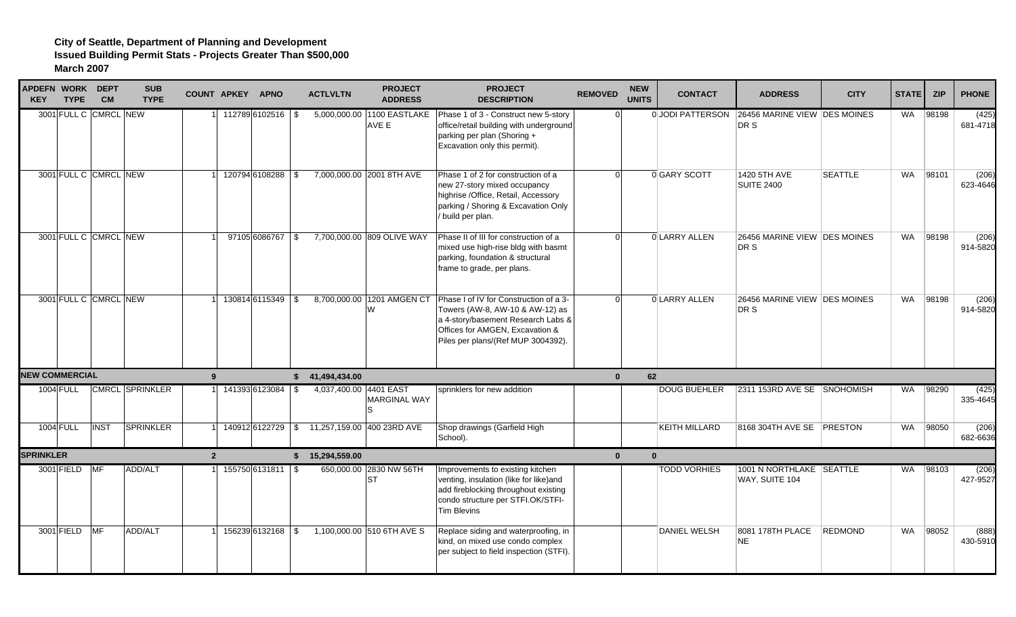| APDEFN WORK DEPT<br><b>KEY</b> | <b>TYPE</b>   | <b>CM</b>             | <b>SUB</b><br><b>TYPE</b> |                | COUNT APKEY APNO    | <b>ACTLVLTN</b>            | <b>PROJECT</b><br><b>ADDRESS</b>     | <b>PROJECT</b><br><b>DESCRIPTION</b>                                                                                                                                                                                | <b>REMOVED</b> | <b>NEW</b><br><b>UNITS</b> | <b>CONTACT</b>       | <b>ADDRESS</b>                             | <b>CITY</b>      | <b>STATE</b> | <b>ZIP</b> | <b>PHONE</b>      |
|--------------------------------|---------------|-----------------------|---------------------------|----------------|---------------------|----------------------------|--------------------------------------|---------------------------------------------------------------------------------------------------------------------------------------------------------------------------------------------------------------------|----------------|----------------------------|----------------------|--------------------------------------------|------------------|--------------|------------|-------------------|
|                                |               | 3001 FULL C CMRCL NEW |                           |                | 112789 6102516 \$   |                            | 5,000,000.00 1100 EASTLAKE<br>AVE E  | Phase 1 of 3 - Construct new 5-story<br>office/retail building with underground<br>parking per plan (Shoring +<br>Excavation only this permit).                                                                     |                |                            | 0 JODI PATTERSON     | 26456 MARINE VIEW DES MOINES<br>DR S       |                  |              | WA 98198   | (425)<br>681-4718 |
|                                |               | 3001 FULL C CMRCL NEW |                           |                | 120794 6108288 \\$  |                            | 7,000,000.00 2001 8TH AVE            | Phase 1 of 2 for construction of a<br>new 27-story mixed occupancy<br>highrise /Office, Retail, Accessory<br>parking / Shoring & Excavation Only<br>build per plan.                                                 | ΩL             |                            | 0 GARY SCOTT         | 1420 5TH AVE<br><b>SUITE 2400</b>          | <b>SEATTLE</b>   | WA           | 98101      | (206)<br>623-4646 |
|                                |               | 3001 FULL C CMRCL NEW |                           |                | $97105 6086767 $ \$ |                            | 7,700,000.00 809 OLIVE WAY           | Phase II of III for construction of a<br>mixed use high-rise bldg with basmt<br>parking, foundation & structural<br>frame to grade, per plans.                                                                      | ΩL             |                            | OLARRY ALLEN         | 26456 MARINE VIEW DES MOINES<br>DR S       |                  | WA           | 98198      | (206)<br>914-5820 |
|                                |               | 3001 FULL C CMRCL NEW |                           |                | 130814 6115349 \\$  |                            | W                                    | 8,700,000.00 1201 AMGEN CT Phase I of IV for Construction of a 3-<br>Towers (AW-8, AW-10 & AW-12) as<br>a 4-story/basement Research Labs &<br>Offices for AMGEN, Excavation &<br>Piles per plans/(Ref MUP 3004392). | n.             |                            | 0 LARRY ALLEN        | 26456 MARINE VIEW DES MOINES<br>DR S       |                  | WA           | 98198      | (206)<br>914-5820 |
| <b>NEW COMMERCIAL</b>          |               |                       |                           | $9^{\circ}$    |                     | \$41,494,434.00            |                                      |                                                                                                                                                                                                                     | $\mathbf{0}$   | 62                         |                      |                                            |                  |              |            |                   |
|                                | 1004 FULL     |                       | <b>CMRCL SPRINKLER</b>    |                | 141393 6123084 \$   | 4,037,400.00 4401 EAST     | <b>MARGINAL WAY</b>                  | sprinklers for new addition                                                                                                                                                                                         |                |                            | <b>DOUG BUEHLER</b>  | 2311 153RD AVE SE                          | <b>SNOHOMISH</b> | <b>WA</b>    | 98290      | (425)<br>335-4645 |
|                                | 1004 FULL     | <b>INST</b>           | <b>SPRINKLER</b>          |                | 140912 6122729 \$   | 11,257,159.00 400 23RD AVE |                                      | Shop drawings (Garfield High<br>School).                                                                                                                                                                            |                |                            | <b>KEITH MILLARD</b> | 8168 304TH AVE SE PRESTON                  |                  | WA           | 98050      | (206)<br>682-6636 |
| <b>SPRINKLER</b>               |               |                       |                           | 2 <sup>2</sup> |                     | \$ 15,294,559.00           |                                      |                                                                                                                                                                                                                     | $\mathbf{0}$   | $\mathbf{0}$               |                      |                                            |                  |              |            |                   |
|                                | 3001 FIELD MF |                       | ADD/ALT                   |                | 155750 6131811 \$   |                            | 650,000.00 2830 NW 56TH<br><b>ST</b> | Improvements to existing kitchen<br>venting, insulation (like for like)and<br>add fireblocking throughout existing<br>condo structure per STFI.OK/STFI-<br><b>Tim Blevins</b>                                       |                |                            | <b>TODD VORHIES</b>  | 1001 N NORTHLAKE SEATTLE<br>WAY, SUITE 104 |                  | WA           | 98103      | (206)<br>427-9527 |
|                                | 3001 FIELD    | MF                    | ADD/ALT                   |                | 156239 6132168 \ \$ |                            | 1,100,000.00 510 6TH AVE S           | Replace siding and waterproofing, in<br>kind, on mixed use condo complex<br>per subject to field inspection (STFI).                                                                                                 |                |                            | <b>DANIEL WELSH</b>  | 8081 178TH PLACE<br>NE                     | <b>REDMOND</b>   | <b>WA</b>    | 98052      | (888)<br>430-5910 |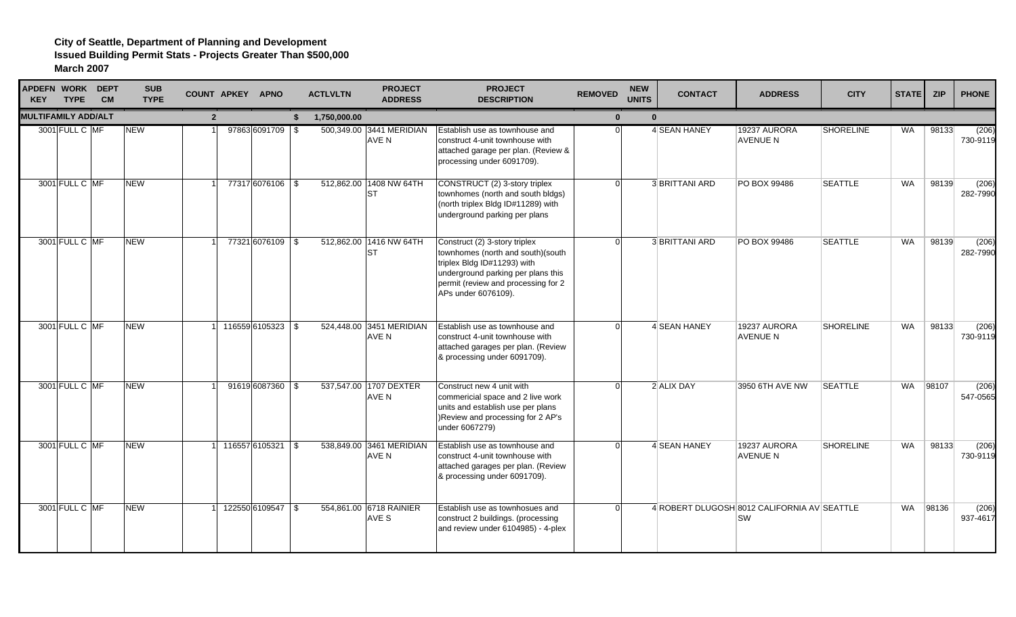| APDEFN WORK DEPT<br><b>KEY</b> | <b>TYPE</b>    | <b>CM</b> | <b>SUB</b><br><b>TYPE</b> |                | COUNT APKEY APNO |                    |              | <b>ACTLVLTN</b> | <b>PROJECT</b><br><b>ADDRESS</b>         | <b>PROJECT</b><br><b>DESCRIPTION</b>                                                                                                                                                                  | <b>REMOVED</b> | <b>NEW</b><br><b>UNITS</b> | <b>CONTACT</b>        | <b>ADDRESS</b>                                    | <b>CITY</b>      | <b>STATE</b> | <b>ZIP</b> | <b>PHONE</b>      |
|--------------------------------|----------------|-----------|---------------------------|----------------|------------------|--------------------|--------------|-----------------|------------------------------------------|-------------------------------------------------------------------------------------------------------------------------------------------------------------------------------------------------------|----------------|----------------------------|-----------------------|---------------------------------------------------|------------------|--------------|------------|-------------------|
| <b>MULTIFAMILY ADD/ALT</b>     |                |           |                           | $\overline{2}$ |                  |                    | $\mathbf{s}$ | 1,750,000.00    |                                          |                                                                                                                                                                                                       | $\mathbf{0}$   | $\mathbf{0}$               |                       |                                                   |                  |              |            |                   |
|                                | 3001 FULL C MF |           | <b>NEW</b>                |                |                  | 97863 6091709 \$   |              |                 | 500,349.00 3441 MERIDIAN<br><b>AVE N</b> | Establish use as townhouse and<br>construct 4-unit townhouse with<br>attached garage per plan. (Review &<br>processing under 6091709).                                                                |                |                            | 4 SEAN HANEY          | 19237 AURORA<br><b>AVENUE N</b>                   | <b>SHORELINE</b> | WA           | 98133      | (206)<br>730-9119 |
|                                | 3001 FULL C MF |           | <b>NEW</b>                |                |                  | 77317 6076106 \\$  |              |                 | 512,862.00 1408 NW 64TH<br><b>ST</b>     | CONSTRUCT (2) 3-story triplex<br>townhomes (north and south bldgs)<br>(north triplex Bldg ID#11289) with<br>underground parking per plans                                                             | $\Omega$       |                            | 3 BRITTANI ARD        | PO BOX 99486                                      | <b>SEATTLE</b>   | WA           | 98139      | (206)<br>282-7990 |
|                                | 3001 FULL C MF |           | <b>NEW</b>                |                |                  | 77321 6076109 \$   |              |                 | 512.862.00 1416 NW 64TH<br><b>ST</b>     | Construct (2) 3-story triplex<br>townhomes (north and south)(south<br>triplex Bldg ID#11293) with<br>underground parking per plans this<br>permit (review and processing for 2<br>APs under 6076109). |                |                            | <b>3 BRITTANI ARD</b> | PO BOX 99486                                      | <b>SEATTLE</b>   | WA           | 98139      | (206)<br>282-7990 |
|                                | 3001 FULL C MF |           | <b>NEW</b>                |                |                  | 116559 6105323 \$  |              |                 | 524,448.00 3451 MERIDIAN<br><b>AVE N</b> | Establish use as townhouse and<br>construct 4-unit townhouse with<br>attached garages per plan. (Review<br>& processing under 6091709).                                                               |                |                            | 4 SEAN HANEY          | 19237 AURORA<br><b>AVENUE N</b>                   | <b>SHORELINE</b> | <b>WA</b>    | 98133      | (206)<br>730-9119 |
|                                | 3001 FULL C MF |           | <b>NEW</b>                |                |                  | $916196087360$ \\$ |              |                 | 537,547.00 1707 DEXTER<br><b>AVE N</b>   | Construct new 4 unit with<br>commericial space and 2 live work<br>units and establish use per plans<br>)Review and processing for 2 AP's<br>under 6067279)                                            |                |                            | 2 ALIX DAY            | 3950 6TH AVE NW                                   | <b>SEATTLE</b>   | WA           | 98107      | (206)<br>547-0565 |
|                                | 3001 FULL C MF |           | <b>NEW</b>                |                |                  | 116557 6105321     | l \$         |                 | 538,849.00 3461 MERIDIAN<br><b>AVE N</b> | Establish use as townhouse and<br>construct 4-unit townhouse with<br>attached garages per plan. (Review<br>& processing under 6091709).                                                               |                |                            | 4 SEAN HANEY          | 19237 AURORA<br><b>AVENUE N</b>                   | <b>SHORELINE</b> | WA           | 98133      | (206)<br>730-9119 |
|                                | 3001 FULL C MF |           | <b>NEW</b>                |                |                  | 122550 6109547 \$  |              |                 | 554,861.00 6718 RAINIER<br>AVE S         | Establish use as townhosues and<br>construct 2 buildings. (processing<br>and review under 6104985) - 4-plex                                                                                           | ΩL             |                            |                       | 4 ROBERT DLUGOSH 8012 CALIFORNIA AV SEATTLE<br>SW |                  | WA           | 98136      | (206)<br>937-4617 |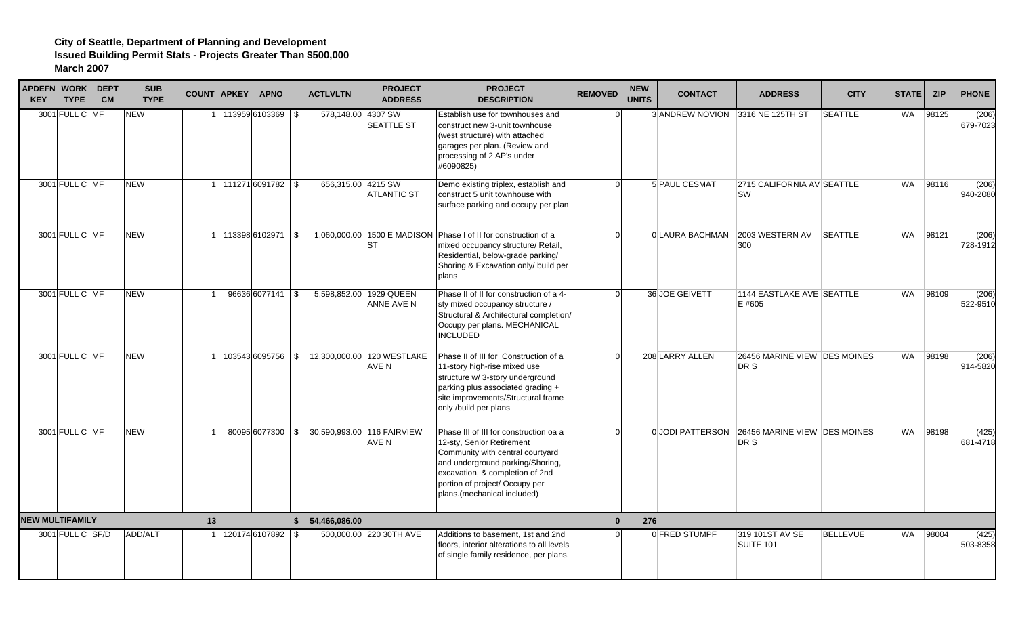| APDEFN WORK DEPT<br><b>KEY</b> | <b>TYPE</b>      | <b>CM</b> | <b>SUB</b><br><b>TYPE</b> |    | COUNT APKEY APNO     | <b>ACTLVLTN</b>            | <b>PROJECT</b><br><b>ADDRESS</b>                      | <b>PROJECT</b><br><b>DESCRIPTION</b>                                                                                                                                                                                                            | <b>REMOVED</b> | <b>NEW</b><br><b>UNITS</b> | <b>CONTACT</b>                   | <b>ADDRESS</b>                                        | <b>CITY</b>     | <b>STATE</b> | <b>ZIP</b> | <b>PHONE</b>      |
|--------------------------------|------------------|-----------|---------------------------|----|----------------------|----------------------------|-------------------------------------------------------|-------------------------------------------------------------------------------------------------------------------------------------------------------------------------------------------------------------------------------------------------|----------------|----------------------------|----------------------------------|-------------------------------------------------------|-----------------|--------------|------------|-------------------|
|                                | 3001 FULL C MF   |           | <b>NEW</b>                |    | 113959 6103369 \$    | 578,148.00 4307 SW         | <b>SEATTLE ST</b>                                     | Establish use for townhouses and<br>construct new 3-unit townhouse<br>(west structure) with attached<br>garages per plan. (Review and<br>processing of 2 AP's under<br>#6090825)                                                                |                |                            | 3 ANDREW NOVION 3316 NE 125TH ST |                                                       | <b>SEATTLE</b>  | WA           | 98125      | (206)<br>679-7023 |
|                                | 3001 FULL C MF   |           | <b>NEW</b>                |    | 1 11271 6091782 \ \$ | 656,315.00 4215 SW         | <b>ATLANTIC ST</b>                                    | Demo existing triplex, establish and<br>construct 5 unit townhouse with<br>surface parking and occupy per plan                                                                                                                                  | n.             |                            | 5 PAUL CESMAT                    | 2715 CALIFORNIA AV SEATTLE<br><b>SW</b>               |                 | WA           | 98116      | (206)<br>940-2080 |
|                                | 3001 FULL C MF   |           | <b>NEW</b>                |    | 1 113398 6102971 \\$ |                            | <b>ST</b>                                             | 1,060,000.00 1500 E MADISON Phase I of II for construction of a<br>mixed occupancy structure/ Retail,<br>Residential, below-grade parking/<br>Shoring & Excavation only/ build per<br>plans                                                     |                |                            | 0 LAURA BACHMAN                  | 2003 WESTERN AV<br>300                                | <b>SEATTLE</b>  | WA           | 98121      | (206)<br>728-1912 |
|                                | 3001 FULL C MF   |           | <b>NEW</b>                |    | 96636 6077141   \$   |                            | 5,598,852.00 1929 QUEEN<br>ANNE AVE N                 | Phase II of II for construction of a 4-<br>sty mixed occupancy structure /<br>Structural & Architectural completion/<br>Occupy per plans. MECHANICAL<br><b>INCLUDED</b>                                                                         | ി              |                            | 36 JOE GEIVETT                   | <b>1144 EASTLAKE AVE SEATTLE</b><br>E #605            |                 | WA           | 98109      | (206)<br>522-9510 |
|                                | 3001 FULL C MF   |           | <b>NEW</b>                |    |                      |                            | 103543 6095756 \$ 12,300,000.00 120 WESTLAKE<br>AVE N | Phase II of III for Construction of a<br>11-story high-rise mixed use<br>structure w/ 3-story underground<br>parking plus associated grading +<br>site improvements/Structural frame<br>only /build per plans                                   | $\Omega$       |                            | 208 LARRY ALLEN                  | 26456 MARINE VIEW IDES MOINES<br>DR S                 |                 | WA           | 98198      | (206)<br>914-5820 |
|                                | 3001 FULL C MF   |           | <b>NEW</b>                |    | 80095 6077300 \$     | 30,590,993.00 116 FAIRVIEW | AVE N                                                 | Phase III of III for construction oa a<br>12-sty, Senior Retirement<br>Community with central courtyard<br>and underground parking/Shoring,<br>excavation, & completion of 2nd<br>portion of project/ Occupy per<br>plans.(mechanical included) | $\Omega$       |                            |                                  | 0 JODI PATTERSON 26456 MARINE VIEW DES MOINES<br>DR S |                 | <b>WA</b>    | 98198      | (425)<br>681-4718 |
| <b>NEW MULTIFAMILY</b>         |                  |           |                           | 13 |                      | \$54,466,086.00            |                                                       |                                                                                                                                                                                                                                                 | $\mathbf{0}$   | 276                        |                                  |                                                       |                 |              |            |                   |
|                                | 3001 FULL C SF/D |           | ADD/ALT                   |    | 120174 6107892 \$    |                            | 500,000.00 220 30TH AVE                               | Additions to basement, 1st and 2nd<br>floors, interior alterations to all levels<br>of single family residence, per plans.                                                                                                                      | ΩL             |                            | 0 FRED STUMPF                    | 319 101ST AV SE<br>SUITE 101                          | <b>BELLEVUE</b> | WA           | 98004      | (425)<br>503-8358 |